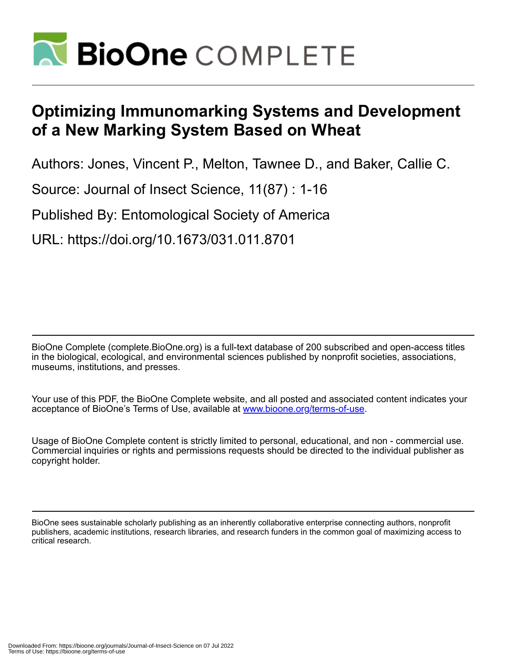

# **Optimizing Immunomarking Systems and Development of a New Marking System Based on Wheat**

Authors: Jones, Vincent P., Melton, Tawnee D., and Baker, Callie C.

Source: Journal of Insect Science, 11(87) : 1-16

Published By: Entomological Society of America

URL: https://doi.org/10.1673/031.011.8701

BioOne Complete (complete.BioOne.org) is a full-text database of 200 subscribed and open-access titles in the biological, ecological, and environmental sciences published by nonprofit societies, associations, museums, institutions, and presses.

Your use of this PDF, the BioOne Complete website, and all posted and associated content indicates your acceptance of BioOne's Terms of Use, available at www.bioone.org/terms-of-use.

Usage of BioOne Complete content is strictly limited to personal, educational, and non - commercial use. Commercial inquiries or rights and permissions requests should be directed to the individual publisher as copyright holder.

BioOne sees sustainable scholarly publishing as an inherently collaborative enterprise connecting authors, nonprofit publishers, academic institutions, research libraries, and research funders in the common goal of maximizing access to critical research.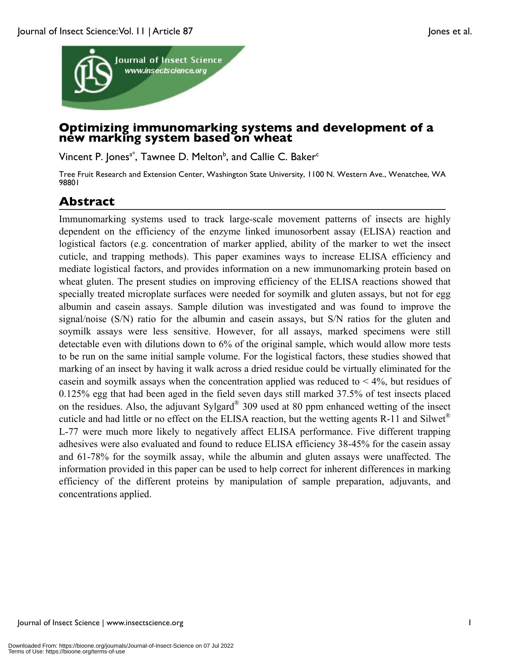

## **Optimizing immunomarking systems and development of a new marking system based on wheat**

Vincent P. Jones $a^*$ , Tawnee D. Melton $b$ , and Callie C. Baker $\epsilon$ 

Tree Fruit Research and Extension Center, Washington State University, 1100 N. Western Ave., Wenatchee, WA 98801

## **Abstract**

Immunomarking systems used to track large-scale movement patterns of insects are highly dependent on the efficiency of the enzyme linked imunosorbent assay (ELISA) reaction and logistical factors (e.g. concentration of marker applied, ability of the marker to wet the insect cuticle, and trapping methods). This paper examines ways to increase ELISA efficiency and mediate logistical factors, and provides information on a new immunomarking protein based on wheat gluten. The present studies on improving efficiency of the ELISA reactions showed that specially treated microplate surfaces were needed for soymilk and gluten assays, but not for egg albumin and casein assays. Sample dilution was investigated and was found to improve the signal/noise (S/N) ratio for the albumin and casein assays, but S/N ratios for the gluten and soymilk assays were less sensitive. However, for all assays, marked specimens were still detectable even with dilutions down to 6% of the original sample, which would allow more tests to be run on the same initial sample volume. For the logistical factors, these studies showed that marking of an insect by having it walk across a dried residue could be virtually eliminated for the casein and soymilk assays when the concentration applied was reduced to  $\leq 4\%$ , but residues of 0.125% egg that had been aged in the field seven days still marked 37.5% of test insects placed on the residues. Also, the adjuvant Sylgard® 309 used at 80 ppm enhanced wetting of the insect cuticle and had little or no effect on the ELISA reaction, but the wetting agents R-11 and Silwet® L-77 were much more likely to negatively affect ELISA performance. Five different trapping adhesives were also evaluated and found to reduce ELISA efficiency 38-45% for the casein assay and 61-78% for the soymilk assay, while the albumin and gluten assays were unaffected. The information provided in this paper can be used to help correct for inherent differences in marking efficiency of the different proteins by manipulation of sample preparation, adjuvants, and concentrations applied.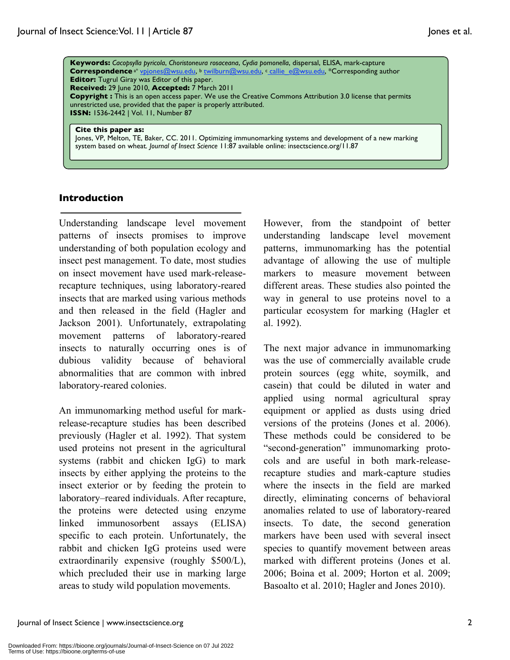**Keywords:** *Cacopsylla pyricola*, *Choristoneura rosaceana*, *Cydia pomonella*, dispersal, ELISA, mark-capture Correspondence<sup>a\*</sup> vpjones@wsu.edu, <sup>b</sup> twilburn@wsu.edu, c callie\_e@wsu.edu, \*Corresponding author **Editor:** Tugrul Giray was Editor of this paper. **Received:** 29 June 2010, **Accepted:** 7 March 2011 **Copyright :** This is an open access paper. We use the Creative Commons Attribution 3.0 license that permits unrestricted use, provided that the paper is properly attributed. **ISSN:** 1536-2442 | Vol. 11, Number 87

#### **Cite this paper as:**

Jones, VP, Melton, TE, Baker, CC. 2011. Optimizing immunomarking systems and development of a new marking system based on wheat*. Journal of Insect Science* 11:87 available online: insectscience.org/11.87

#### **Introduction**

Understanding landscape level movement patterns of insects promises to improve understanding of both population ecology and insect pest management. To date, most studies on insect movement have used mark-releaserecapture techniques, using laboratory-reared insects that are marked using various methods and then released in the field (Hagler and Jackson 2001). Unfortunately, extrapolating movement patterns of laboratory-reared insects to naturally occurring ones is of dubious validity because of behavioral abnormalities that are common with inbred laboratory-reared colonies.

An immunomarking method useful for markrelease-recapture studies has been described previously (Hagler et al. 1992). That system used proteins not present in the agricultural systems (rabbit and chicken IgG) to mark insects by either applying the proteins to the insect exterior or by feeding the protein to laboratory–reared individuals. After recapture, the proteins were detected using enzyme linked immunosorbent assays (ELISA) specific to each protein. Unfortunately, the rabbit and chicken IgG proteins used were extraordinarily expensive (roughly \$500/L), which precluded their use in marking large areas to study wild population movements.

However, from the standpoint of better understanding landscape level movement patterns, immunomarking has the potential advantage of allowing the use of multiple markers to measure movement between different areas. These studies also pointed the way in general to use proteins novel to a particular ecosystem for marking (Hagler et al. 1992).

The next major advance in immunomarking was the use of commercially available crude protein sources (egg white, soymilk, and casein) that could be diluted in water and applied using normal agricultural spray equipment or applied as dusts using dried versions of the proteins (Jones et al. 2006). These methods could be considered to be "second-generation" immunomarking protocols and are useful in both mark-releaserecapture studies and mark-capture studies where the insects in the field are marked directly, eliminating concerns of behavioral anomalies related to use of laboratory-reared insects. To date, the second generation markers have been used with several insect species to quantify movement between areas marked with different proteins (Jones et al. 2006; Boina et al. 2009; Horton et al. 2009; Basoalto et al. 2010; Hagler and Jones 2010).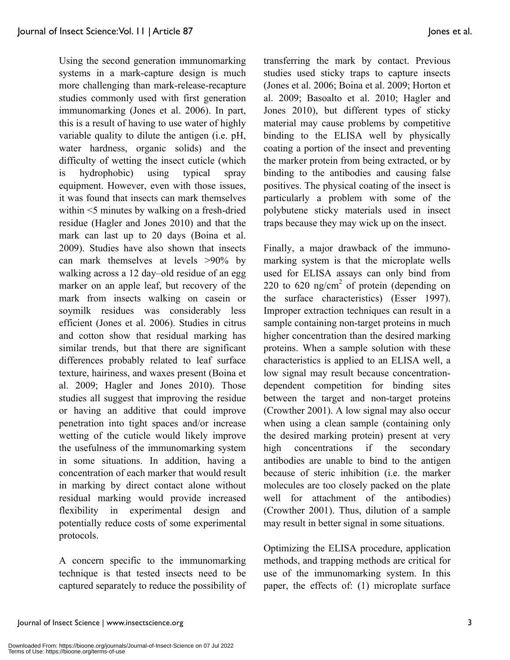Using the second generation immunomarking systems in a mark-capture design is much more challenging than mark-release-recapture studies commonly used with first generation immunomarking (Jones et al. 2006). In part, this is a result of having to use water of highly variable quality to dilute the antigen (i.e. pH, water hardness, organic solids) and the difficulty of wetting the insect cuticle (which is hydrophobic) using typical spray equipment. However, even with those issues, it was found that insects can mark themselves within <5 minutes by walking on a fresh-dried residue (Hagler and Jones 2010) and that the mark can last up to 20 days (Boina et al. 2009). Studies have also shown that insects can mark themselves at levels >90% by walking across a 12 day–old residue of an egg marker on an apple leaf, but recovery of the mark from insects walking on casein or soymilk residues was considerably less efficient (Jones et al. 2006). Studies in citrus and cotton show that residual marking has similar trends, but that there are significant differences probably related to leaf surface texture, hairiness, and waxes present (Boina et al. 2009; Hagler and Jones 2010). Those studies all suggest that improving the residue or having an additive that could improve penetration into tight spaces and/or increase wetting of the cuticle would likely improve the usefulness of the immunomarking system in some situations. In addition, having a concentration of each marker that would result in marking by direct contact alone without residual marking would provide increased flexibility in experimental design and potentially reduce costs of some experimental protocols.

A concern specific to the immunomarking technique is that tested insects need to be captured separately to reduce the possibility of transferring the mark by contact. Previous studies used sticky traps to capture insects (Jones et al. 2006; Boina et al. 2009; Horton et al. 2009; Basoalto et al. 2010; Hagler and Jones 2010), but different types of sticky material may cause problems by competitive binding to the ELISA well by physically coating a portion of the insect and preventing the marker protein from being extracted, or by binding to the antibodies and causing false positives. The physical coating of the insect is particularly a problem with some of the polybutene sticky materials used in insect traps because they may wick up on the insect.

Finally, a major drawback of the immunomarking system is that the microplate wells used for ELISA assays can only bind from 220 to 620 ng/cm<sup>2</sup> of protein (depending on the surface characteristics) (Esser 1997). Improper extraction techniques can result in a sample containing non-target proteins in much higher concentration than the desired marking proteins. When a sample solution with these characteristics is applied to an ELISA well, a low signal may result because concentrationdependent competition for binding sites between the target and non-target proteins (Crowther 2001). A low signal may also occur when using a clean sample (containing only the desired marking protein) present at very high concentrations if the secondary antibodies are unable to bind to the antigen because of steric inhibition (i.e. the marker molecules are too closely packed on the plate well for attachment of the antibodies) (Crowther 2001). Thus, dilution of a sample may result in better signal in some situations.

Optimizing the ELISA procedure, application methods, and trapping methods are critical for use of the immunomarking system. In this paper, the effects of: (1) microplate surface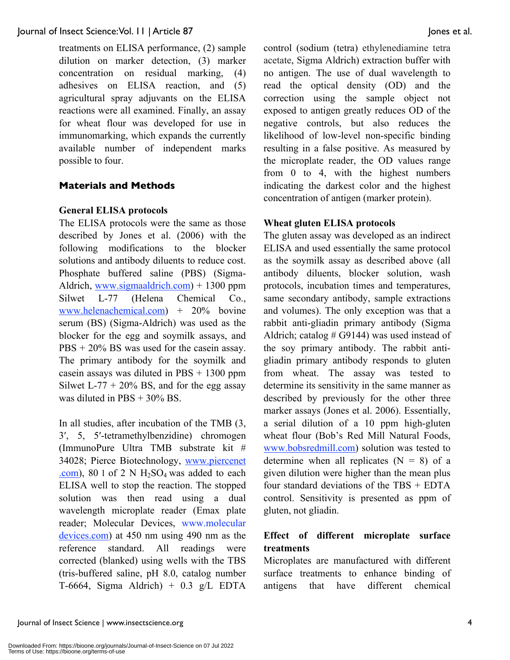treatments on ELISA performance, (2) sample dilution on marker detection, (3) marker concentration on residual marking, (4) adhesives on ELISA reaction, and (5) agricultural spray adjuvants on the ELISA reactions were all examined. Finally, an assay for wheat flour was developed for use in immunomarking, which expands the currently available number of independent marks possible to four.

#### **Materials and Methods**

#### **General ELISA protocols**

The ELISA protocols were the same as those described by Jones et al. (2006) with the following modifications to the blocker solutions and antibody diluents to reduce cost. Phosphate buffered saline (PBS) (Sigma-Aldrich, www.sigmaaldrich.com) + 1300 ppm Silwet L-77 (Helena Chemical Co., www.helenachemical.com) + 20% bovine serum (BS) (Sigma-Aldrich) was used as the blocker for the egg and soymilk assays, and PBS + 20% BS was used for the casein assay. The primary antibody for the soymilk and casein assays was diluted in  $PBS + 1300$  ppm Silwet L-77 + 20% BS, and for the egg assay was diluted in PBS + 30% BS.

In all studies, after incubation of the TMB (3, 3, 5, 5-tetramethylbenzidine) chromogen (ImmunoPure Ultra TMB substrate kit # 34028; Pierce Biotechnology, www.piercenet .com), 80 l of 2 N  $H_2SO_4$  was added to each ELISA well to stop the reaction. The stopped solution was then read using a dual wavelength microplate reader (Emax plate reader; Molecular Devices, www.molecular devices.com) at 450 nm using 490 nm as the reference standard. All readings were corrected (blanked) using wells with the TBS (tris-buffered saline, pH 8.0, catalog number T-6664, Sigma Aldrich) + 0.3 g/L EDTA control (sodium (tetra) ethylenediamine tetra acetate, Sigma Aldrich) extraction buffer with no antigen. The use of dual wavelength to read the optical density (OD) and the correction using the sample object not exposed to antigen greatly reduces OD of the negative controls, but also reduces the likelihood of low-level non-specific binding resulting in a false positive. As measured by the microplate reader, the OD values range from 0 to 4, with the highest numbers indicating the darkest color and the highest concentration of antigen (marker protein).

#### **Wheat gluten ELISA protocols**

The gluten assay was developed as an indirect ELISA and used essentially the same protocol as the soymilk assay as described above (all antibody diluents, blocker solution, wash protocols, incubation times and temperatures, same secondary antibody, sample extractions and volumes). The only exception was that a rabbit anti-gliadin primary antibody (Sigma Aldrich; catalog  $# G9144$ ) was used instead of the soy primary antibody. The rabbit antigliadin primary antibody responds to gluten from wheat. The assay was tested to determine its sensitivity in the same manner as described by previously for the other three marker assays (Jones et al. 2006). Essentially, a serial dilution of a 10 ppm high-gluten wheat flour (Bob's Red Mill Natural Foods, www.bobsredmill.com) solution was tested to determine when all replicates  $(N = 8)$  of a given dilution were higher than the mean plus four standard deviations of the TBS + EDTA control. Sensitivity is presented as ppm of gluten, not gliadin.

## **Effect of different microplate surface treatments**

Microplates are manufactured with different surface treatments to enhance binding of antigens that have different chemical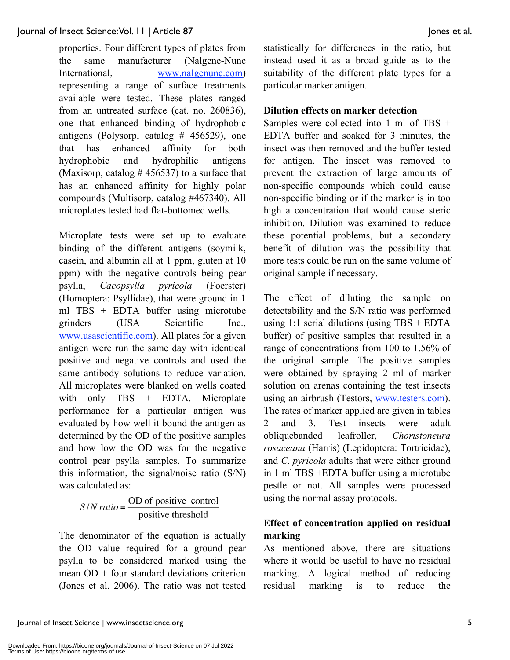properties. Four different types of plates from the same manufacturer (Nalgene-Nunc International, www.nalgenunc.com) representing a range of surface treatments available were tested. These plates ranged from an untreated surface (cat. no. 260836), one that enhanced binding of hydrophobic antigens (Polysorp, catalog  $#$  456529), one that has enhanced affinity for both hydrophobic and hydrophilic antigens (Maxisorp, catalog  $# 456537$ ) to a surface that has an enhanced affinity for highly polar compounds (Multisorp, catalog #467340). All microplates tested had flat-bottomed wells.

Microplate tests were set up to evaluate binding of the different antigens (soymilk, casein, and albumin all at 1 ppm, gluten at 10 ppm) with the negative controls being pear psylla, *Cacopsylla pyricola* (Foerster) (Homoptera: Psyllidae), that were ground in 1 ml TBS + EDTA buffer using microtube grinders (USA Scientific Inc., www.usascientific.com). All plates for a given antigen were run the same day with identical positive and negative controls and used the same antibody solutions to reduce variation. All microplates were blanked on wells coated with only TBS + EDTA. Microplate performance for a particular antigen was evaluated by how well it bound the antigen as determined by the OD of the positive samples and how low the OD was for the negative control pear psylla samples. To summarize this information, the signal/noise ratio (S/N) was calculated as:

 $S/N$  ratio =  $\frac{OD \space of \space positive \space control}{positive \space threshold}$ 

The denominator of the equation is actually the OD value required for a ground pear psylla to be considered marked using the mean OD + four standard deviations criterion (Jones et al. 2006). The ratio was not tested statistically for differences in the ratio, but instead used it as a broad guide as to the suitability of the different plate types for a particular marker antigen.

#### **Dilution effects on marker detection**

Samples were collected into 1 ml of TBS + EDTA buffer and soaked for 3 minutes, the insect was then removed and the buffer tested for antigen. The insect was removed to prevent the extraction of large amounts of non-specific compounds which could cause non-specific binding or if the marker is in too high a concentration that would cause steric inhibition. Dilution was examined to reduce these potential problems, but a secondary benefit of dilution was the possibility that more tests could be run on the same volume of original sample if necessary.

The effect of diluting the sample on detectability and the S/N ratio was performed using 1:1 serial dilutions (using  $TBS + EDTA$ buffer) of positive samples that resulted in a range of concentrations from 100 to 1.56% of the original sample. The positive samples were obtained by spraying 2 ml of marker solution on arenas containing the test insects using an airbrush (Testors, www.testers.com). The rates of marker applied are given in tables 2 and 3. Test insects were adult obliquebanded leafroller, *Choristoneura rosaceana* (Harris) (Lepidoptera: Tortricidae), and *C. pyricola* adults that were either ground in 1 ml TBS +EDTA buffer using a microtube pestle or not. All samples were processed using the normal assay protocols.

## **Effect of concentration applied on residual marking**

As mentioned above, there are situations where it would be useful to have no residual marking. A logical method of reducing residual marking is to reduce the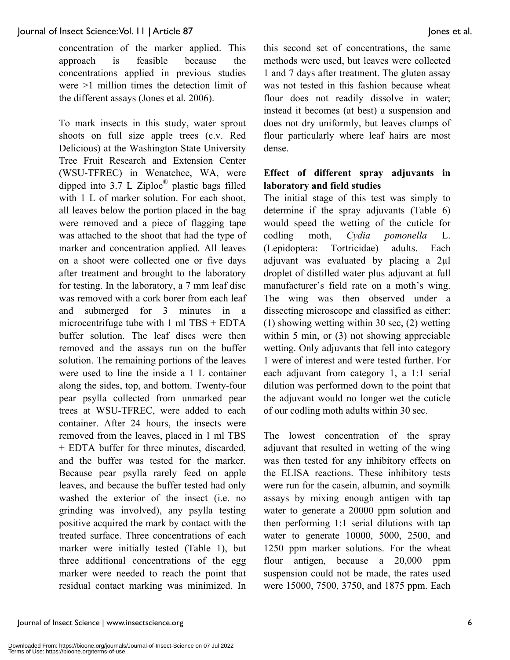concentration of the marker applied. This approach is feasible because the concentrations applied in previous studies were >1 million times the detection limit of the different assays (Jones et al. 2006).

To mark insects in this study, water sprout shoots on full size apple trees (c.v. Red Delicious) at the Washington State University Tree Fruit Research and Extension Center (WSU-TFREC) in Wenatchee, WA, were dipped into 3.7 L Ziploc® plastic bags filled with 1 L of marker solution. For each shoot, all leaves below the portion placed in the bag were removed and a piece of flagging tape was attached to the shoot that had the type of marker and concentration applied. All leaves on a shoot were collected one or five days after treatment and brought to the laboratory for testing. In the laboratory, a 7 mm leaf disc was removed with a cork borer from each leaf and submerged for 3 minutes in a microcentrifuge tube with  $1 \text{ ml} TBS + EDTA$ buffer solution. The leaf discs were then removed and the assays run on the buffer solution. The remaining portions of the leaves were used to line the inside a 1 L container along the sides, top, and bottom. Twenty-four pear psylla collected from unmarked pear trees at WSU-TFREC, were added to each container. After 24 hours, the insects were removed from the leaves, placed in 1 ml TBS + EDTA buffer for three minutes, discarded, and the buffer was tested for the marker. Because pear psylla rarely feed on apple leaves, and because the buffer tested had only washed the exterior of the insect (i.e. no grinding was involved), any psylla testing positive acquired the mark by contact with the treated surface. Three concentrations of each marker were initially tested (Table 1), but three additional concentrations of the egg marker were needed to reach the point that residual contact marking was minimized. In this second set of concentrations, the same methods were used, but leaves were collected 1 and 7 days after treatment. The gluten assay was not tested in this fashion because wheat flour does not readily dissolve in water; instead it becomes (at best) a suspension and does not dry uniformly, but leaves clumps of flour particularly where leaf hairs are most dense.

#### **Effect of different spray adjuvants in laboratory and field studies**

The initial stage of this test was simply to determine if the spray adjuvants (Table 6) would speed the wetting of the cuticle for codling moth, *Cydia pomonella* L. (Lepidoptera: Tortricidae) adults. Each adjuvant was evaluated by placing a  $2\mu$ l droplet of distilled water plus adjuvant at full manufacturer's field rate on a moth's wing. The wing was then observed under a dissecting microscope and classified as either: (1) showing wetting within 30 sec, (2) wetting within 5 min, or (3) not showing appreciable wetting. Only adjuvants that fell into category 1 were of interest and were tested further. For each adjuvant from category 1, a 1:1 serial dilution was performed down to the point that the adjuvant would no longer wet the cuticle of our codling moth adults within 30 sec.

The lowest concentration of the spray adjuvant that resulted in wetting of the wing was then tested for any inhibitory effects on the ELISA reactions. These inhibitory tests were run for the casein, albumin, and soymilk assays by mixing enough antigen with tap water to generate a 20000 ppm solution and then performing 1:1 serial dilutions with tap water to generate 10000, 5000, 2500, and 1250 ppm marker solutions. For the wheat flour antigen, because a 20,000 ppm suspension could not be made, the rates used were 15000, 7500, 3750, and 1875 ppm. Each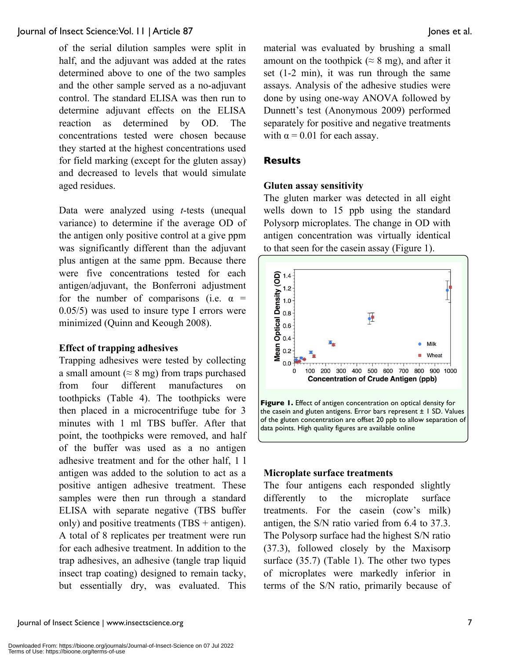of the serial dilution samples were split in half, and the adjuvant was added at the rates determined above to one of the two samples and the other sample served as a no-adjuvant control. The standard ELISA was then run to determine adjuvant effects on the ELISA reaction as determined by OD. The concentrations tested were chosen because they started at the highest concentrations used for field marking (except for the gluten assay) and decreased to levels that would simulate aged residues.

Data were analyzed using *t*-tests (unequal variance) to determine if the average OD of the antigen only positive control at a give ppm was significantly different than the adjuvant plus antigen at the same ppm. Because there were five concentrations tested for each antigen/adjuvant, the Bonferroni adjustment for the number of comparisons (i.e.  $\alpha$  = 0.05/5) was used to insure type I errors were minimized (Quinn and Keough 2008).

#### **Effect of trapping adhesives**

Trapping adhesives were tested by collecting a small amount ( $\approx$  8 mg) from traps purchased from four different manufactures on toothpicks (Table 4). The toothpicks were then placed in a microcentrifuge tube for 3 minutes with 1 ml TBS buffer. After that point, the toothpicks were removed, and half of the buffer was used as a no antigen adhesive treatment and for the other half, 1 l antigen was added to the solution to act as a positive antigen adhesive treatment. These samples were then run through a standard ELISA with separate negative (TBS buffer only) and positive treatments (TBS + antigen). A total of 8 replicates per treatment were run for each adhesive treatment. In addition to the trap adhesives, an adhesive (tangle trap liquid insect trap coating) designed to remain tacky, but essentially dry, was evaluated. This

material was evaluated by brushing a small amount on the toothpick ( $\approx 8$  mg), and after it set (1-2 min), it was run through the same assays. Analysis of the adhesive studies were done by using one-way ANOVA followed by Dunnett's test (Anonymous 2009) performed separately for positive and negative treatments with  $\alpha$  = 0.01 for each assay.

#### **Results**

#### **Gluten assay sensitivity**

The gluten marker was detected in all eight wells down to 15 ppb using the standard Polysorp microplates. The change in OD with antigen concentration was virtually identical to that seen for the casein assay (Figure 1).



#### **Microplate surface treatments**

The four antigens each responded slightly differently to the microplate surface treatments. For the casein (cow's milk) antigen, the S/N ratio varied from 6.4 to 37.3. The Polysorp surface had the highest S/N ratio (37.3), followed closely by the Maxisorp surface (35.7) (Table 1). The other two types of microplates were markedly inferior in terms of the S/N ratio, primarily because of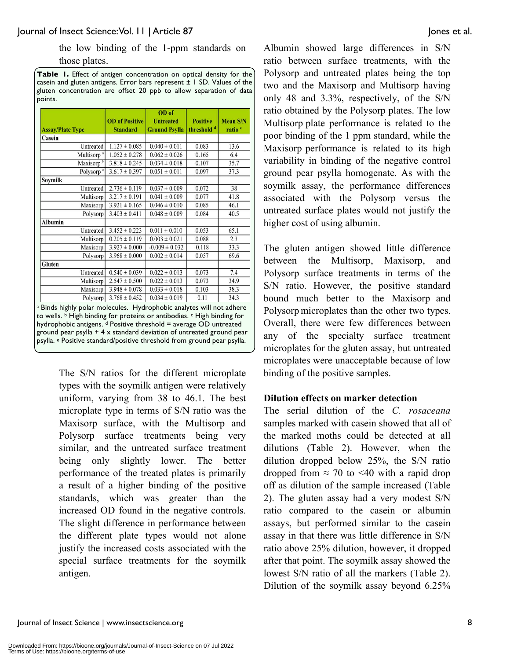the low binding of the 1-ppm standards on those plates.

**Table 1.** Effect of antigen concentration on optical density for the casein and gluten antigens. Error bars represent  $\pm$  1 SD. Values of the gluten concentration are offset 20 ppb to allow separation of data points.

| <b>OD</b> of Positive | OD of<br><b>Untreated</b>                                                                                                                                                                                                                                                                                                        | <b>Positive</b>                                                                     | <b>Mean S/N</b>                                                                                                                                                                                                                                                                                                                                              |
|-----------------------|----------------------------------------------------------------------------------------------------------------------------------------------------------------------------------------------------------------------------------------------------------------------------------------------------------------------------------|-------------------------------------------------------------------------------------|--------------------------------------------------------------------------------------------------------------------------------------------------------------------------------------------------------------------------------------------------------------------------------------------------------------------------------------------------------------|
|                       |                                                                                                                                                                                                                                                                                                                                  |                                                                                     | ratio <sup>e</sup>                                                                                                                                                                                                                                                                                                                                           |
|                       |                                                                                                                                                                                                                                                                                                                                  |                                                                                     |                                                                                                                                                                                                                                                                                                                                                              |
|                       |                                                                                                                                                                                                                                                                                                                                  |                                                                                     | 13.6                                                                                                                                                                                                                                                                                                                                                         |
|                       |                                                                                                                                                                                                                                                                                                                                  |                                                                                     | 6.4                                                                                                                                                                                                                                                                                                                                                          |
|                       |                                                                                                                                                                                                                                                                                                                                  | 0.107                                                                               | 35.7                                                                                                                                                                                                                                                                                                                                                         |
| $3.617 \pm 0.397$     | $0.051 \pm 0.011$                                                                                                                                                                                                                                                                                                                | 0.097                                                                               | 37.3                                                                                                                                                                                                                                                                                                                                                         |
|                       |                                                                                                                                                                                                                                                                                                                                  |                                                                                     |                                                                                                                                                                                                                                                                                                                                                              |
| $2.736 \pm 0.119$     | $0.037 \pm 0.009$                                                                                                                                                                                                                                                                                                                | 0.072                                                                               | 38                                                                                                                                                                                                                                                                                                                                                           |
| $3.217 \pm 0.191$     | $0.041 \pm 0.009$                                                                                                                                                                                                                                                                                                                | 0.077                                                                               | 41.8                                                                                                                                                                                                                                                                                                                                                         |
| $3.921 \pm 0.165$     | $0.046 \pm 0.010$                                                                                                                                                                                                                                                                                                                | 0.085                                                                               | 46.1                                                                                                                                                                                                                                                                                                                                                         |
| $3.403 \pm 0.411$     | $0.048 \pm 0.009$                                                                                                                                                                                                                                                                                                                | 0.084                                                                               | 40.5                                                                                                                                                                                                                                                                                                                                                         |
|                       |                                                                                                                                                                                                                                                                                                                                  |                                                                                     |                                                                                                                                                                                                                                                                                                                                                              |
| $3.452 \pm 0.223$     | $0.011 \pm 0.010$                                                                                                                                                                                                                                                                                                                | 0.053                                                                               | 65.1                                                                                                                                                                                                                                                                                                                                                         |
| $0.205 \pm 0.119$     | $0.003 \pm 0.021$                                                                                                                                                                                                                                                                                                                | 0.088                                                                               | 2.3                                                                                                                                                                                                                                                                                                                                                          |
| $3.927 \pm 0.000$     | $-0.009 \pm 0.032$                                                                                                                                                                                                                                                                                                               | 0.118                                                                               | 33.3                                                                                                                                                                                                                                                                                                                                                         |
| $3.968 \pm 0.000$     | $0.002 \pm 0.014$                                                                                                                                                                                                                                                                                                                | 0.057                                                                               | 69.6                                                                                                                                                                                                                                                                                                                                                         |
|                       |                                                                                                                                                                                                                                                                                                                                  |                                                                                     |                                                                                                                                                                                                                                                                                                                                                              |
| $0.540 \pm 0.039$     | $0.022 \pm 0.013$                                                                                                                                                                                                                                                                                                                | 0.073                                                                               | 7.4                                                                                                                                                                                                                                                                                                                                                          |
| $2.547 \pm 0.500$     | $0.022 \pm 0.013$                                                                                                                                                                                                                                                                                                                | 0.073                                                                               | 34.9                                                                                                                                                                                                                                                                                                                                                         |
| $3.948 \pm 0.078$     | $0.033 \pm 0.018$                                                                                                                                                                                                                                                                                                                | 0.103                                                                               | 38.3                                                                                                                                                                                                                                                                                                                                                         |
| $3.768 \pm 0.452$     | $0.034 \pm 0.019$                                                                                                                                                                                                                                                                                                                | 0.11                                                                                | 34.3                                                                                                                                                                                                                                                                                                                                                         |
|                       |                                                                                                                                                                                                                                                                                                                                  |                                                                                     |                                                                                                                                                                                                                                                                                                                                                              |
|                       | <b>Standard</b><br>$1.127 \pm 0.085$<br><b>Untreated</b><br>Multisorp <sup>a</sup><br>$1.052 \pm 0.278$<br>$3.818 \pm 0.245$<br>Polysorp <sup>c</sup><br>Untreated<br>Multisorp<br>Maxisorp<br>Polysorp<br><b>Untreated</b><br>Multisorp<br>Maxisorp<br>Polysorp<br><b>Untreated</b><br>Multisorp<br>Maxisorp<br><b>Polysorp</b> | <b>Ground Psylla</b><br>$0.040 \pm 0.011$<br>$0.062 \pm 0.026$<br>$0.034 \pm 0.018$ | threshold <sup>d</sup><br>0.083<br>0.165<br>a Binds highly polar molecules. Hydrophobic analytes will not adhere<br>to wells. <b>b</b> High binding for proteins or antibodies. <b>c High binding for</b><br>hydrophobic antigens. d Positive threshold = average OD untreated<br>ground pear psylla $+4 \times$ standard deviation of untreated ground pear |

The S/N ratios for the different microplate types with the soymilk antigen were relatively uniform, varying from 38 to 46.1. The best microplate type in terms of S/N ratio was the Maxisorp surface, with the Multisorp and Polysorp surface treatments being very similar, and the untreated surface treatment being only slightly lower. The better performance of the treated plates is primarily a result of a higher binding of the positive standards, which was greater than the increased OD found in the negative controls. The slight difference in performance between the different plate types would not alone justify the increased costs associated with the special surface treatments for the soymilk antigen.

Albumin showed large differences in S/N ratio between surface treatments, with the Polysorp and untreated plates being the top two and the Maxisorp and Multisorp having only 48 and 3.3%, respectively, of the S/N ratio obtained by the Polysorp plates. The low Multisorp plate performance is related to the poor binding of the 1 ppm standard, while the Maxisorp performance is related to its high variability in binding of the negative control ground pear psylla homogenate. As with the soymilk assay, the performance differences associated with the Polysorp versus the untreated surface plates would not justify the higher cost of using albumin.

The gluten antigen showed little difference between the Multisorp, Maxisorp, and Polysorp surface treatments in terms of the S/N ratio. However, the positive standard bound much better to the Maxisorp and Polysorp microplates than the other two types. Overall, there were few differences between any of the specialty surface treatment microplates for the gluten assay, but untreated microplates were unacceptable because of low binding of the positive samples.

#### **Dilution effects on marker detection**

The serial dilution of the *C. rosaceana* samples marked with casein showed that all of the marked moths could be detected at all dilutions (Table 2). However, when the dilution dropped below 25%, the S/N ratio dropped from  $\approx$  70 to <40 with a rapid drop off as dilution of the sample increased (Table 2). The gluten assay had a very modest S/N ratio compared to the casein or albumin assays, but performed similar to the casein assay in that there was little difference in S/N ratio above 25% dilution, however, it dropped after that point. The soymilk assay showed the lowest S/N ratio of all the markers (Table 2). Dilution of the soymilk assay beyond 6.25%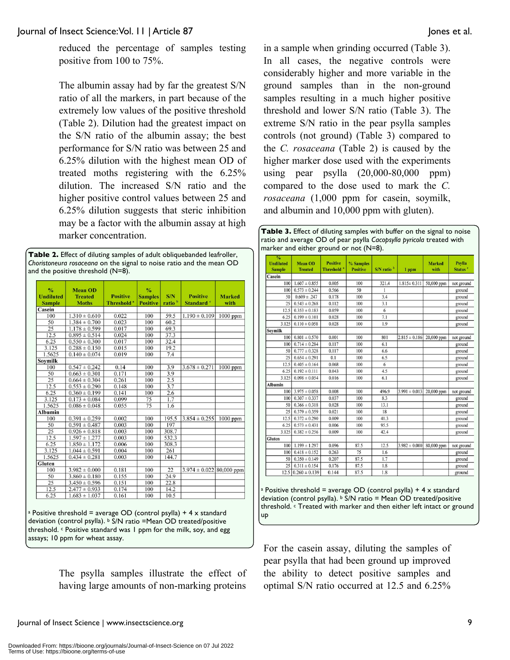reduced the percentage of samples testing positive from 100 to 75%.

The albumin assay had by far the greatest S/N ratio of all the markers, in part because of the extremely low values of the positive threshold (Table 2). Dilution had the greatest impact on the S/N ratio of the albumin assay; the best performance for S/N ratio was between 25 and 6.25% dilution with the highest mean OD of treated moths registering with the 6.25% dilution. The increased S/N ratio and the higher positive control values between 25 and 6.25% dilution suggests that steric inhibition may be a factor with the albumin assay at high marker concentration.

**Table 2.** Effect of diluting samples of adult obliquebanded leafroller, *Choristoneura rosaceana* on the signal to noise ratio and the mean OD and the positive threshold (N=8).

| $\frac{0}{0}$<br><b>Undiluted</b><br><b>Sample</b> | <b>Mean OD</b><br><b>Treated</b><br><b>Moths</b> | <b>Positive</b><br><b>Threshold</b> <sup>a</sup> | $\frac{0}{2}$<br><b>Samples</b><br><b>Positive</b> | S/N<br>ratio <sup>b</sup> | <b>Positive</b><br>Standard <sup>c</sup> | <b>Marked</b><br>with |
|----------------------------------------------------|--------------------------------------------------|--------------------------------------------------|----------------------------------------------------|---------------------------|------------------------------------------|-----------------------|
| Casein                                             |                                                  |                                                  |                                                    |                           |                                          |                       |
| 100                                                | $1.310 \pm 0.610$                                | 0.022                                            | 100                                                | 59.5                      | $1.190 \pm 0.109$                        | $1000$ ppm            |
| 50                                                 | $1.384 \pm 0.700$                                | 0.023                                            | 100                                                | 60.2                      |                                          |                       |
| 25                                                 | $1.178 \pm 0.599$                                | 0.017                                            | 100                                                | 69.3                      |                                          |                       |
| 12.5                                               | $0.895 \pm 0.514$                                | 0.024                                            | 100                                                | 37.3                      |                                          |                       |
| 6.25                                               | $0.550 \pm 0.300$                                | 0.017                                            | 100                                                | 32.4                      |                                          |                       |
| 3.125                                              | $0.288 \pm 0.150$                                | 0.015                                            | 100                                                | 19.2                      |                                          |                       |
| 1.5625                                             | $0.140 \pm 0.074$                                | 0.019                                            | 100                                                | 7.4                       |                                          |                       |
| <b>Soymilk</b>                                     |                                                  |                                                  |                                                    |                           |                                          |                       |
| 100                                                | $0.547 \pm 0.242$                                | 0.14                                             | 100                                                | 3.9                       | $3.678 \pm 0.271$                        | $1000$ ppm            |
| 50                                                 | $0.663 \pm 0.301$                                | 0.171                                            | 100                                                | 3.9                       |                                          |                       |
| 25                                                 | $0.664 \pm 0.304$                                | 0.261                                            | 100                                                | 2.5                       |                                          |                       |
| 12.5                                               | $0.553 \pm 0.290$                                | 0.148                                            | 100                                                | 3.7                       |                                          |                       |
| 6.25                                               | $0.360 \pm 0.199$                                | 0.141                                            | 100                                                | 2.6                       |                                          |                       |
| 3.125                                              | $0.173 \pm 0.084$                                | 0.099                                            | 75                                                 | 1.7                       |                                          |                       |
| 1.5625                                             | $0.086 \pm 0.048$                                | 0.055                                            | 75                                                 | 1.6                       |                                          |                       |
| Albumin                                            |                                                  |                                                  |                                                    |                           |                                          |                       |
| 100                                                | $0.391 \pm 0.259$                                | 0.002                                            | 100                                                | 195.5                     | $3.854 \pm 0.255$                        | $1000$ ppm            |
| 50                                                 | $0.591 \pm 0.487$                                | 0.003                                            | 100                                                | 197                       |                                          |                       |
| 25                                                 | $0.926 \pm 0.818$                                | 0.003                                            | 100                                                | 308.7                     |                                          |                       |
| 12.5                                               | $1.597 \pm 1.277$                                | 0.003                                            | 100                                                | 532.3                     |                                          |                       |
| 6.25                                               | $1.850 \pm 1.172$                                | 0.006                                            | 100                                                | 308.3                     |                                          |                       |
| 3.125                                              | $1.044 \pm 0.591$                                | 0.004                                            | 100                                                | 261                       |                                          |                       |
| 1.5625                                             | $0.434 \pm 0.281$                                | 0.003                                            | 100                                                | 144.7                     |                                          |                       |
| Gluten                                             |                                                  |                                                  |                                                    |                           |                                          |                       |
| 100                                                | $3.982 \pm 0.000$                                | 0.181                                            | 100                                                | 22                        | $3.974 \pm 0.022$ 80,000 ppm             |                       |
| 50                                                 | $3.860 \pm 0.180$                                | 0.155                                            | 100                                                | 24.9                      |                                          |                       |
| 25                                                 | $3.450 \pm 0.596$                                | 0.151                                            | 100                                                | 22.8                      |                                          |                       |
| 12.5                                               | $2.477 \pm 0.933$                                | 0.174                                            | 100                                                | 14.2                      |                                          |                       |
| 6.25                                               | $1.683 \pm 1.037$                                | 0.161                                            | 100                                                | 10.5                      |                                          |                       |

<sup>a</sup> Positive threshold = average OD (control psylla) + 4 x standard deviation (control psylla). b S/N ratio =Mean OD treated/positive threshold.  $\epsilon$  Positive standard was 1 ppm for the milk, soy, and egg assays; 10 ppm for wheat assay.

> The psylla samples illustrate the effect of having large amounts of non-marking proteins

in a sample when grinding occurred (Table 3). In all cases, the negative controls were considerably higher and more variable in the ground samples than in the non-ground samples resulting in a much higher positive threshold and lower S/N ratio (Table 3). The extreme S/N ratio in the pear psylla samples controls (not ground) (Table 3) compared to the *C. rosaceana* (Table 2) is caused by the higher marker dose used with the experiments using pear psylla (20,000-80,000 ppm) compared to the dose used to mark the *C. rosaceana* (1,000 ppm for casein, soymilk, and albumin and 10,000 ppm with gluten).

**Table 3.** Effect of diluting samples with buffer on the signal to noise ratio and average OD of pear psylla *Cacopsylla pyricola* treated with marker and either ground or not (N=8).

| $\frac{0}{2}$<br><b>Undiluted</b><br><b>Sample</b> | <b>Mean OD</b><br><b>Treated</b> | <b>Positive</b><br>Threshold <sup>a</sup> | % Samples<br><b>Positive</b> | S/N ratio <sup>b</sup> | 1 ppm             | <b>Marked</b><br>with | <b>Psylla</b><br>Status <sup>c</sup> |
|----------------------------------------------------|----------------------------------|-------------------------------------------|------------------------------|------------------------|-------------------|-----------------------|--------------------------------------|
| Casein                                             |                                  |                                           |                              |                        |                   |                       |                                      |
| 100                                                | $1.607 \pm 0.855$                | 0.005                                     | 100                          | 321.4                  | $1.815 \pm 0.311$ | 50,000 ppm            | not ground                           |
| 100                                                | $0.573 \pm 0.244$                | 0.566                                     | 50                           | 1                      |                   |                       | ground                               |
| 50                                                 | $0.609 \pm .247$                 | 0.178                                     | 100                          | 3.4                    |                   |                       | ground                               |
| 25                                                 | $0.543 \pm 0.268$                | 0.112                                     | 100                          | 3.1                    |                   |                       | ground                               |
| 12.5                                               | $0.353 \pm 0.183$                | 0.059                                     | 100                          | 6                      |                   |                       | ground                               |
| 6.25                                               | $0.199 \pm 0.101$                | 0.028                                     | 100                          | 7.1                    |                   |                       | ground                               |
| 3.125                                              | $0.110 \pm 0.058$                | 0.028                                     | 100                          | 1.9                    |                   |                       | ground                               |
| Soymilk                                            |                                  |                                           |                              |                        |                   |                       |                                      |
| 100                                                | $0.801 \pm 0.570$                | 0.001                                     | 100                          | 801                    | $2.815 \pm 0.186$ | 20,000 ppm            | not ground                           |
| 100                                                | $0.714 \pm 0.284$                | 0.117                                     | 100                          | 6.1                    |                   |                       | ground                               |
| 50                                                 | $0.777 \pm 0.328$                | 0.117                                     | 100                          | 6.6                    |                   |                       | ground                               |
| 25                                                 | $0.654 \pm 0.291$                | 0.1                                       | 100                          | 6.5                    |                   |                       | ground                               |
| 12.5                                               | $0.405 \pm 0.164$                | 0.068                                     | 100                          | 6                      |                   |                       | ground                               |
| 6.25                                               | $0.192 \pm 0.111$                | 0.043                                     | 100                          | 4.5                    |                   |                       | ground                               |
| 3.125                                              | $0.098 \pm 0.054$                | 0.016                                     | 100                          | 6.1                    |                   |                       | ground                               |
| <b>Albumin</b>                                     |                                  |                                           |                              |                        |                   |                       |                                      |
| 100                                                | $3.975 \pm 0.058$                | 0.008                                     | 100                          | 496.9                  | $3.991 \pm 0.013$ | 20,000 ppm            | not ground                           |
| 100                                                | $0.307 \pm 0.337$                | 0.037                                     | 100                          | 8.3                    |                   |                       | ground                               |
| 50                                                 | $0.366 \pm 0.318$                | 0.028                                     | 100                          | 13.1                   |                   |                       | ground                               |
| 25                                                 | $0.379 \pm 0.359$                | 0.021                                     | 100                          | 18                     |                   |                       | ground                               |
| 12.5                                               | $0.372 \pm 0.290$                | 0.009                                     | 100                          | 41.3                   |                   |                       | ground                               |
| 6.25                                               | $0.573 \pm 0.431$                | 0.006                                     | 100                          | 95.5                   |                   |                       | ground                               |
| 3.125                                              | $0.382 \pm 0.256$                | 0.009                                     | 100                          | 42.4                   |                   |                       | ground                               |
| Gluten                                             |                                  |                                           |                              |                        |                   |                       |                                      |
| 100                                                | $1.199 \pm 1.297$                | 0.096                                     | 87.5                         | 12.5                   | $3.982 \pm 0.000$ | 80,000 ppm            | not ground                           |
| 100                                                | $0.418 \pm 0.152$                | 0.263                                     | 75                           | 1.6                    |                   |                       | ground                               |
| 50                                                 | $0.350 \pm 0.149$                | 0.207                                     | 87.5                         | 1.7                    |                   |                       | ground                               |
| 25                                                 | $0.311 \pm 0.154$                | 0.176                                     | 87.5                         | 1.8                    |                   |                       | ground                               |
| 12.5                                               | $0.260 \pm 0.139$                | 0.144                                     | 87.5                         | 1.8                    |                   |                       | ground                               |

a Positive threshold = average OD (control psylla) +  $4 \times$  standard deviation (control psylla).  $\frac{1}{2}$  S/N ratio = Mean OD treated/positive threshold. c Treated with marker and then either left intact or ground up

For the casein assay, diluting the samples of pear psylla that had been ground up improved the ability to detect positive samples and optimal S/N ratio occurred at 12.5 and 6.25%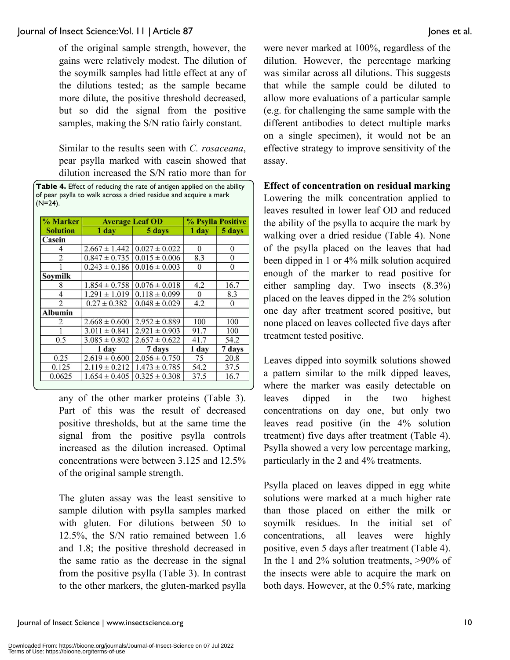of the original sample strength, however, the gains were relatively modest. The dilution of the soymilk samples had little effect at any of the dilutions tested; as the sample became more dilute, the positive threshold decreased, but so did the signal from the positive samples, making the S/N ratio fairly constant.

Similar to the results seen with *C. rosaceana*, pear psylla marked with casein showed that dilution increased the S/N ratio more than for

| % Marker        | <b>Average Leaf OD</b> | % Psylla Positive |          |          |
|-----------------|------------------------|-------------------|----------|----------|
| <b>Solution</b> | $1$ day                | 5 days            | 1 day    | 5 days   |
| Casein          |                        |                   |          |          |
| 4               | $2.667 \pm 1.442$      | $0.027 \pm 0.022$ | $\theta$ | $\theta$ |
| 2               | $0.847 \pm 0.735$      | $0.015 \pm 0.006$ | 8.3      | 0        |
|                 | $0.243 \pm 0.186$      | $0.016 \pm 0.003$ | $\theta$ | $\theta$ |
| Soymilk         |                        |                   |          |          |
| 8               | $1.854 \pm 0.758$      | $0.076 \pm 0.018$ | 4.2      | 16.7     |
| 4               | $1.291 \pm 1.019$      | $0.118 \pm 0.099$ | $\Omega$ | 8.3      |
| $\overline{2}$  | $0.27 \pm 0.382$       | $0.048 \pm 0.029$ | 4.2      | $\theta$ |
| Albumin         |                        |                   |          |          |
| 2               | $2.668 \pm 0.600$      | $2.952 \pm 0.889$ | 100      | 100      |
|                 | $3.011 \pm 0.841$      | $2.921 \pm 0.903$ | 91.7     | 100      |
| 0.5             | $3.085 \pm 0.802$      | $2.657 \pm 0.622$ | 41.7     | 54.2     |
|                 | 1 day                  | 7 days            | 1 day    | 7 days   |
| 0.25            | $2.619 \pm 0.600$      | $2.056 \pm 0.750$ | 75       | 20.8     |
| 0.125           | $2.119 \pm 0.212$      | $1.473 \pm 0.785$ | 54.2     | 37.5     |
| 0.0625          | $1.654 \pm 0.405$      | $0.325 \pm 0.308$ | 37.5     | 16.7     |

any of the other marker proteins (Table 3). Part of this was the result of decreased positive thresholds, but at the same time the signal from the positive psylla controls increased as the dilution increased. Optimal concentrations were between 3.125 and 12.5% of the original sample strength.

The gluten assay was the least sensitive to sample dilution with psylla samples marked with gluten. For dilutions between 50 to 12.5%, the S/N ratio remained between 1.6 and 1.8; the positive threshold decreased in the same ratio as the decrease in the signal from the positive psylla (Table 3). In contrast to the other markers, the gluten-marked psylla were never marked at 100%, regardless of the dilution. However, the percentage marking was similar across all dilutions. This suggests that while the sample could be diluted to allow more evaluations of a particular sample (e.g. for challenging the same sample with the different antibodies to detect multiple marks on a single specimen), it would not be an effective strategy to improve sensitivity of the assay.

#### **Effect of concentration on residual marking**

Lowering the milk concentration applied to leaves resulted in lower leaf OD and reduced the ability of the psylla to acquire the mark by walking over a dried residue (Table 4). None of the psylla placed on the leaves that had been dipped in 1 or 4% milk solution acquired enough of the marker to read positive for either sampling day. Two insects (8.3%) placed on the leaves dipped in the 2% solution one day after treatment scored positive, but none placed on leaves collected five days after treatment tested positive.

Leaves dipped into soymilk solutions showed a pattern similar to the milk dipped leaves, where the marker was easily detectable on leaves dipped in the two highest concentrations on day one, but only two leaves read positive (in the 4% solution treatment) five days after treatment (Table 4). Psylla showed a very low percentage marking, particularly in the 2 and 4% treatments.

Psylla placed on leaves dipped in egg white solutions were marked at a much higher rate than those placed on either the milk or soymilk residues. In the initial set of concentrations, all leaves were highly positive, even 5 days after treatment (Table 4). In the 1 and 2% solution treatments, >90% of the insects were able to acquire the mark on both days. However, at the 0.5% rate, marking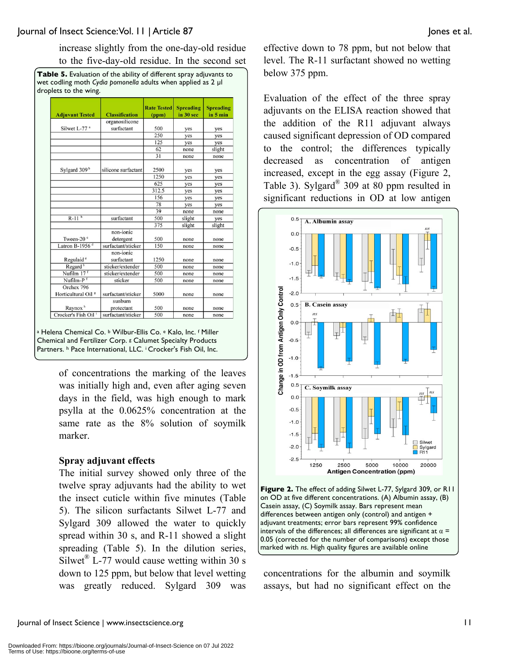increase slightly from the one-day-old residue to the five-day-old residue. In the second set

| Table 5. Evaluation of the ability of different spray adjuvants to |
|--------------------------------------------------------------------|
| wet codling moth Cydia pomonella adults when applied as 2 µl       |
| droplets to the wing.                                              |

| <b>Adjuvant Tested</b>                       | <b>Classification</b>   | <b>Rate Tested</b><br>(ppm) | <b>Spreading</b><br>in 30 sec | <b>Spreading</b><br>in 5 min |
|----------------------------------------------|-------------------------|-----------------------------|-------------------------------|------------------------------|
|                                              | organosilicone          |                             |                               |                              |
| Silwet L-77 <sup>a</sup>                     | surfactant              | 500                         | yes                           | yes                          |
|                                              |                         | 250                         | yes                           | yes                          |
|                                              |                         | 125                         | yes                           | yes                          |
|                                              |                         | 62                          | none                          | slight                       |
|                                              |                         | 31                          | none                          | none                         |
| Sylgard 309 <sup>b</sup>                     | silicone surfactant     | 2500                        | yes                           | yes                          |
|                                              |                         | 1250                        | yes                           | yes                          |
|                                              |                         | 625                         | yes                           | yes                          |
|                                              |                         | 312.5                       | yes                           | yes                          |
|                                              |                         | 156                         | yes                           | yes                          |
|                                              |                         | 78                          | yes                           | yes                          |
|                                              |                         | 39                          | none                          | none                         |
| $R-11b$                                      | surfactant              | 500                         | slight                        | yes                          |
|                                              |                         | 375                         | slight                        | slight                       |
| Tween-20 °                                   | non-ionic<br>detergent  | 500                         | none                          | none                         |
| Latron B-1956 $d$                            | surfactant/sticker      | 150                         | none                          | none                         |
| Regulaid <sup>e</sup>                        | non-ionic<br>surfactant | 1250                        | none                          | none                         |
| Regard <sup>b</sup>                          | sticker/extender        | 500                         | none                          | none                         |
| Nufilm 17 <sup>f</sup>                       | sticker/extender        | 500                         | none                          | none                         |
| Nufilm-P <sup>f</sup>                        | sticker                 | 500                         | none                          | none                         |
| Orchex 796<br>Horticultural Oil <sup>8</sup> | surfactant/sticker      | 5000                        | none                          | none                         |
| Raynox <sup>h</sup>                          | sunburn<br>protectant   | 500                         | none                          | none                         |
| Crocker's Fish Oil                           | surfactant/sticker      | 500                         | none                          | none                         |

<sup>a</sup> Helena Chemical Co. <sup>b</sup> Wilbur-Ellis Co. <sup>e</sup> Kalo, Inc. <sup>f</sup> Miller Chemical and Fertilizer Corp. g Calumet Specialty Products Partners. h Pace International, LLC. i Crocker's Fish Oil, Inc.

> of concentrations the marking of the leaves was initially high and, even after aging seven days in the field, was high enough to mark psylla at the 0.0625% concentration at the same rate as the 8% solution of soymilk marker.

#### **Spray adjuvant effects**

The initial survey showed only three of the twelve spray adjuvants had the ability to wet the insect cuticle within five minutes (Table 5). The silicon surfactants Silwet L-77 and Sylgard 309 allowed the water to quickly spread within 30 s, and R-11 showed a slight spreading (Table 5). In the dilution series, Silwet<sup>®</sup> L-77 would cause wetting within 30 s down to 125 ppm, but below that level wetting was greatly reduced. Sylgard 309 was

effective down to 78 ppm, but not below that level. The R-11 surfactant showed no wetting below 375 ppm.

Evaluation of the effect of the three spray adjuvants on the ELISA reaction showed that the addition of the R11 adjuvant always caused significant depression of OD compared to the control; the differences typically decreased as concentration of antigen increased, except in the egg assay (Figure 2, Table 3). Sylgard® 309 at 80 ppm resulted in significant reductions in OD at low antigen



**Figure 2.** The effect of adding Silwet L-77, Sylgard 309, or R11 on OD at five different concentrations. (A) Albumin assay, (B) Casein assay, (C) Soymilk assay. Bars represent mean differences between antigen only (control) and antigen + adjuvant treatments; error bars represent 99% confidence intervals of the differences; all differences are significant at  $\alpha$  = 0.05 (corrected for the number of comparisons) except those marked with *ns*. High quality figures are available online

concentrations for the albumin and soymilk assays, but had no significant effect on the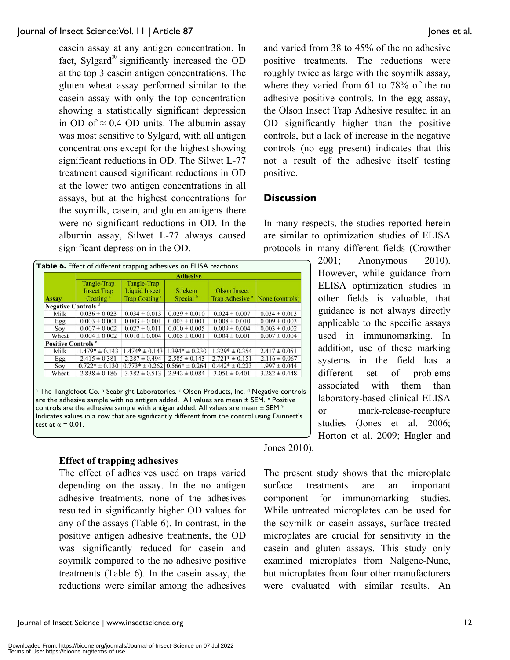casein assay at any antigen concentration. In fact, Sylgard® significantly increased the OD at the top 3 casein antigen concentrations. The gluten wheat assay performed similar to the casein assay with only the top concentration showing a statistically significant depression in OD of  $\approx 0.4$  OD units. The albumin assay was most sensitive to Sylgard, with all antigen concentrations except for the highest showing significant reductions in OD. The Silwet L-77 treatment caused significant reductions in OD at the lower two antigen concentrations in all assays, but at the highest concentrations for the soymilk, casein, and gluten antigens there were no significant reductions in OD. In the albumin assay, Silwet L-77 always caused significant depression in the OD.

|                                       | Tangle-Trap          | Tangle-Trap               |                      |                            |                   |
|---------------------------------------|----------------------|---------------------------|----------------------|----------------------------|-------------------|
|                                       | <b>Insect Trap</b>   | Liquid Insect             | <b>Stickem</b>       | <b>Olson Insect</b>        |                   |
| <b>Assay</b>                          | Coating <sup>a</sup> | Trap Coating <sup>a</sup> | Special <sup>b</sup> | Trap Adhesive <sup>c</sup> | None (controls)   |
| <b>Negative Controls</b> <sup>d</sup> |                      |                           |                      |                            |                   |
| Milk                                  | $0.036 \pm 0.023$    | $0.034 \pm 0.013$         | $0.029 \pm 0.010$    | $0.024 \pm 0.007$          | $0.034 \pm 0.013$ |
| Egg                                   | $0.003 \pm 0.001$    | $0.003 \pm 0.001$         | $0.003 \pm 0.001$    | $0.008 \pm 0.010$          | $0.009 \pm 0.003$ |
| Sov                                   | $0.007 \pm 0.002$    | $0.027 \pm 0.011$         | $0.010 \pm 0.005$    | $0.009 \pm 0.004$          | $0.003 \pm 0.002$ |
| Wheat                                 | $0.004 \pm 0.002$    | $0.010 \pm 0.004$         | $0.005 \pm 0.001$    | $0.004 \pm 0.001$          | $0.007 \pm 0.004$ |
| <b>Positive Controls °</b>            |                      |                           |                      |                            |                   |
| Milk                                  | $1.479* \pm 0.143$   | $1.474* \pm 0.143$        | $1.394* \pm 0.230$   | $1.329* \pm 0.354$         | $2.417 \pm 0.051$ |
| Egg                                   | $2.415 \pm 0.381$    | $2.287 \pm 0.494$         | $2.585 \pm 0.143$    | $2.721* \pm 0.151$         | $2.116 \pm 0.067$ |
| Soy                                   | $0.722* \pm 0.130$   | $0.773* \pm 0.262$        | $0.566* \pm 0.264$   | $0.442* \pm 0.223$         | $1.997 \pm 0.044$ |
| Wheat                                 | $2.838 \pm 0.186$    | $3.382 \pm 0.513$         | $2.942 \pm 0.084$    | $3.051 \pm 0.401$          | $3.282 \pm 0.448$ |
|                                       |                      |                           |                      |                            |                   |

are the adhesive sample with no antigen added. All values are mean  $\pm$  SEM.  $\text{e}$  Positive controls are the adhesive sample with antigen added. All values are mean  $\pm$  SEM  $^*$ Indicates values in a row that are significantly different from the control using Dunnett's test at  $\alpha = 0.01$ .

#### **Effect of trapping adhesives**

The effect of adhesives used on traps varied depending on the assay. In the no antigen adhesive treatments, none of the adhesives resulted in significantly higher OD values for any of the assays (Table 6). In contrast, in the positive antigen adhesive treatments, the OD was significantly reduced for casein and soymilk compared to the no adhesive positive treatments (Table 6). In the casein assay, the reductions were similar among the adhesives and varied from 38 to 45% of the no adhesive positive treatments. The reductions were roughly twice as large with the soymilk assay, where they varied from 61 to 78% of the no adhesive positive controls. In the egg assay, the Olson Insect Trap Adhesive resulted in an OD significantly higher than the positive controls, but a lack of increase in the negative controls (no egg present) indicates that this not a result of the adhesive itself testing positive.

#### **Discussion**

In many respects, the studies reported herein are similar to optimization studies of ELISA protocols in many different fields (Crowther

> 2001; Anonymous 2010). However, while guidance from ELISA optimization studies in other fields is valuable, that guidance is not always directly applicable to the specific assays used in immunomarking. In addition, use of these marking systems in the field has a different set of problems associated with them than laboratory-based clinical ELISA or mark-release-recapture studies (Jones et al. 2006; Horton et al. 2009; Hagler and

Jones 2010).

The present study shows that the microplate surface treatments are an important component for immunomarking studies. While untreated microplates can be used for the soymilk or casein assays, surface treated microplates are crucial for sensitivity in the casein and gluten assays. This study only examined microplates from Nalgene-Nunc, but microplates from four other manufacturers were evaluated with similar results. An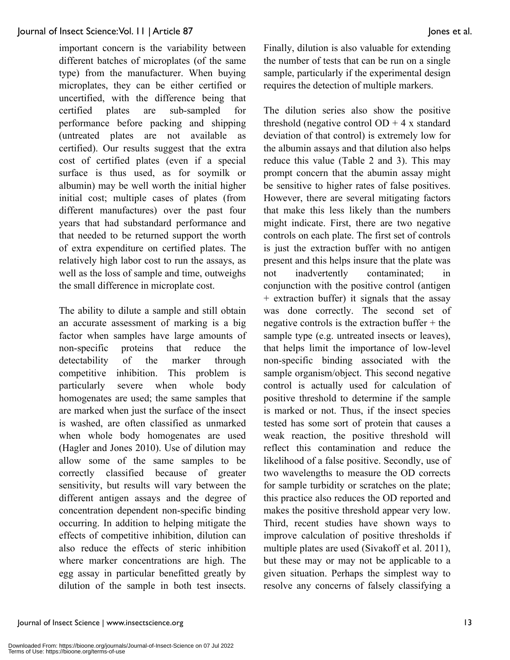important concern is the variability between different batches of microplates (of the same type) from the manufacturer. When buying microplates, they can be either certified or uncertified, with the difference being that certified plates are sub-sampled for performance before packing and shipping (untreated plates are not available as certified). Our results suggest that the extra cost of certified plates (even if a special surface is thus used, as for soymilk or albumin) may be well worth the initial higher initial cost; multiple cases of plates (from different manufactures) over the past four years that had substandard performance and that needed to be returned support the worth of extra expenditure on certified plates. The relatively high labor cost to run the assays, as well as the loss of sample and time, outweighs the small difference in microplate cost.

The ability to dilute a sample and still obtain an accurate assessment of marking is a big factor when samples have large amounts of non-specific proteins that reduce the detectability of the marker through competitive inhibition. This problem is particularly severe when whole body homogenates are used; the same samples that are marked when just the surface of the insect is washed, are often classified as unmarked when whole body homogenates are used (Hagler and Jones 2010). Use of dilution may allow some of the same samples to be correctly classified because of greater sensitivity, but results will vary between the different antigen assays and the degree of concentration dependent non-specific binding occurring. In addition to helping mitigate the effects of competitive inhibition, dilution can also reduce the effects of steric inhibition where marker concentrations are high. The egg assay in particular benefitted greatly by dilution of the sample in both test insects. Finally, dilution is also valuable for extending the number of tests that can be run on a single sample, particularly if the experimental design requires the detection of multiple markers.

The dilution series also show the positive threshold (negative control  $OD + 4x$  standard deviation of that control) is extremely low for the albumin assays and that dilution also helps reduce this value (Table 2 and 3). This may prompt concern that the abumin assay might be sensitive to higher rates of false positives. However, there are several mitigating factors that make this less likely than the numbers might indicate. First, there are two negative controls on each plate. The first set of controls is just the extraction buffer with no antigen present and this helps insure that the plate was not inadvertently contaminated; in conjunction with the positive control (antigen + extraction buffer) it signals that the assay was done correctly. The second set of negative controls is the extraction buffer + the sample type (e.g. untreated insects or leaves), that helps limit the importance of low-level non-specific binding associated with the sample organism/object. This second negative control is actually used for calculation of positive threshold to determine if the sample is marked or not. Thus, if the insect species tested has some sort of protein that causes a weak reaction, the positive threshold will reflect this contamination and reduce the likelihood of a false positive. Secondly, use of two wavelengths to measure the OD corrects for sample turbidity or scratches on the plate; this practice also reduces the OD reported and makes the positive threshold appear very low. Third, recent studies have shown ways to improve calculation of positive thresholds if multiple plates are used (Sivakoff et al. 2011), but these may or may not be applicable to a given situation. Perhaps the simplest way to resolve any concerns of falsely classifying a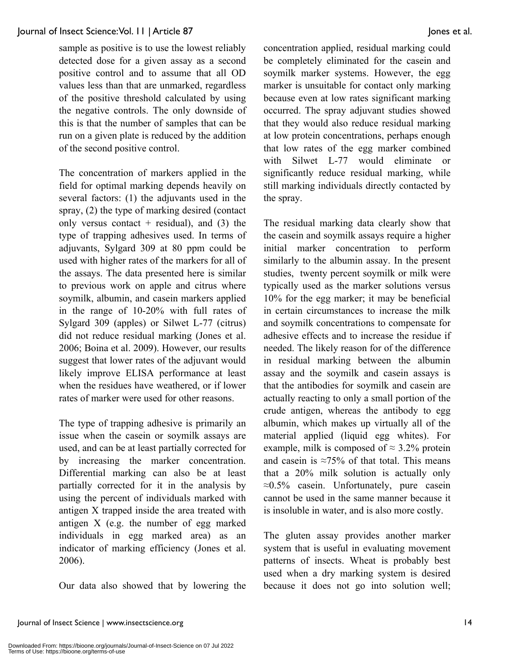sample as positive is to use the lowest reliably detected dose for a given assay as a second positive control and to assume that all OD values less than that are unmarked, regardless of the positive threshold calculated by using the negative controls. The only downside of this is that the number of samples that can be run on a given plate is reduced by the addition of the second positive control.

The concentration of markers applied in the field for optimal marking depends heavily on several factors: (1) the adjuvants used in the spray, (2) the type of marking desired (contact only versus contact  $+$  residual), and (3) the type of trapping adhesives used. In terms of adjuvants, Sylgard 309 at 80 ppm could be used with higher rates of the markers for all of the assays. The data presented here is similar to previous work on apple and citrus where soymilk, albumin, and casein markers applied in the range of 10-20% with full rates of Sylgard 309 (apples) or Silwet L-77 (citrus) did not reduce residual marking (Jones et al. 2006; Boina et al. 2009). However, our results suggest that lower rates of the adjuvant would likely improve ELISA performance at least when the residues have weathered, or if lower rates of marker were used for other reasons.

The type of trapping adhesive is primarily an issue when the casein or soymilk assays are used, and can be at least partially corrected for by increasing the marker concentration. Differential marking can also be at least partially corrected for it in the analysis by using the percent of individuals marked with antigen X trapped inside the area treated with antigen X (e.g. the number of egg marked individuals in egg marked area) as an indicator of marking efficiency (Jones et al. 2006).

Our data also showed that by lowering the

concentration applied, residual marking could be completely eliminated for the casein and soymilk marker systems. However, the egg marker is unsuitable for contact only marking because even at low rates significant marking occurred. The spray adjuvant studies showed that they would also reduce residual marking at low protein concentrations, perhaps enough that low rates of the egg marker combined with Silwet L-77 would eliminate or significantly reduce residual marking, while still marking individuals directly contacted by the spray.

The residual marking data clearly show that the casein and soymilk assays require a higher initial marker concentration to perform similarly to the albumin assay. In the present studies, twenty percent soymilk or milk were typically used as the marker solutions versus 10% for the egg marker; it may be beneficial in certain circumstances to increase the milk and soymilk concentrations to compensate for adhesive effects and to increase the residue if needed. The likely reason for of the difference in residual marking between the albumin assay and the soymilk and casein assays is that the antibodies for soymilk and casein are actually reacting to only a small portion of the crude antigen, whereas the antibody to egg albumin, which makes up virtually all of the material applied (liquid egg whites). For example, milk is composed of  $\approx 3.2\%$  protein and casein is  $\approx 75\%$  of that total. This means that a 20% milk solution is actually only  $\approx 0.5\%$  casein. Unfortunately, pure casein cannot be used in the same manner because it is insoluble in water, and is also more costly.

The gluten assay provides another marker system that is useful in evaluating movement patterns of insects. Wheat is probably best used when a dry marking system is desired because it does not go into solution well;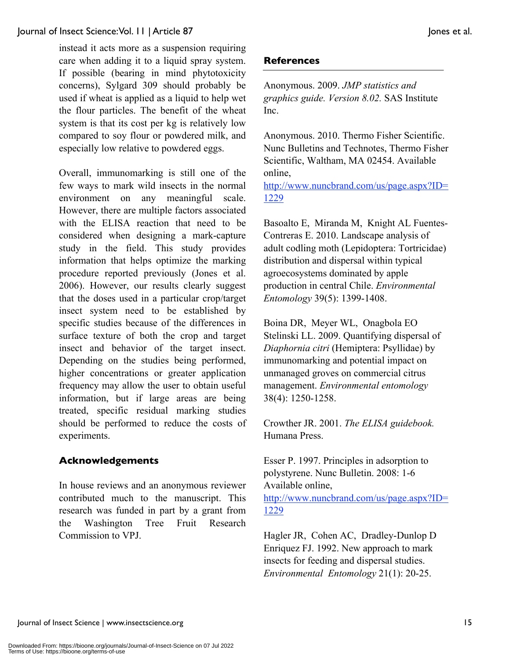instead it acts more as a suspension requiring care when adding it to a liquid spray system. If possible (bearing in mind phytotoxicity concerns), Sylgard 309 should probably be used if wheat is applied as a liquid to help wet the flour particles. The benefit of the wheat system is that its cost per kg is relatively low compared to soy flour or powdered milk, and especially low relative to powdered eggs.

Overall, immunomarking is still one of the few ways to mark wild insects in the normal environment on any meaningful scale. However, there are multiple factors associated with the ELISA reaction that need to be considered when designing a mark-capture study in the field. This study provides information that helps optimize the marking procedure reported previously (Jones et al. 2006). However, our results clearly suggest that the doses used in a particular crop/target insect system need to be established by specific studies because of the differences in surface texture of both the crop and target insect and behavior of the target insect. Depending on the studies being performed, higher concentrations or greater application frequency may allow the user to obtain useful information, but if large areas are being treated, specific residual marking studies should be performed to reduce the costs of experiments.

## **Acknowledgements**

In house reviews and an anonymous reviewer contributed much to the manuscript. This research was funded in part by a grant from the Washington Tree Fruit Research Commission to VPJ.

#### **References**

Anonymous. 2009. *JMP statistics and graphics guide. Version 8.02.* SAS Institute Inc.

Anonymous. 2010. Thermo Fisher Scientific. Nunc Bulletins and Technotes, Thermo Fisher Scientific, Waltham, MA 02454. Available online,

http://www.nuncbrand.com/us/page.aspx?ID= 1229

Basoalto E, Miranda M, Knight AL Fuentes-Contreras E. 2010. Landscape analysis of adult codling moth (Lepidoptera: Tortricidae) distribution and dispersal within typical agroecosystems dominated by apple production in central Chile. *Environmental Entomology* 39(5): 1399-1408.

Boina DR, Meyer WL, Onagbola EO Stelinski LL. 2009. Quantifying dispersal of *Diaphornia citri* (Hemiptera: Psyllidae) by immunomarking and potential impact on unmanaged groves on commercial citrus management. *Environmental entomology* 38(4): 1250-1258.

Crowther JR. 2001. *The ELISA guidebook.*  Humana Press.

Esser P. 1997. Principles in adsorption to polystyrene. Nunc Bulletin. 2008: 1-6 Available online, http://www.nuncbrand.com/us/page.aspx?ID= 1229

Hagler JR, Cohen AC, Dradley-Dunlop D Enriquez FJ. 1992. New approach to mark insects for feeding and dispersal studies. *Environmental Entomology* 21(1): 20-25.